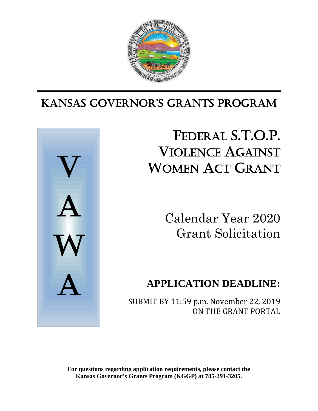

# Ι KANSAS GoverNor'S GrANtS ProGrAm



# FEDERAL S.T.O.P. VIOLENCE AGAINST WOMEN ACT GRANT

\_\_\_\_\_\_\_\_\_\_\_\_\_\_\_\_\_\_\_\_\_\_\_\_\_\_\_\_\_\_\_\_\_\_\_\_\_\_\_\_\_\_\_\_\_\_\_\_\_\_\_\_

Calendar Year 2020 Grant Solicitation

# **APPLICATION DEADLINE:**

SUBMIT BY 11:59 p.m. November 22, 2019 ON THE GRANT PORTAL

**For questions regarding application requirements, please contact the Kansas Governor's Grants Program (KGGP) at 785-291-3205.**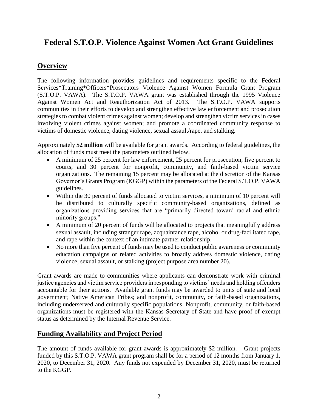# **Federal S.T.O.P. Violence Against Women Act Grant Guidelines**

# **Overview**

The following information provides guidelines and requirements specific to the Federal Services\*Training\*Officers\*Prosecutors Violence Against Women Formula Grant Program (S.T.O.P. VAWA). The S.T.O.P. VAWA grant was established through the 1995 Violence Against Women Act and Reauthorization Act of 2013. The S.T.O.P. VAWA supports communities in their efforts to develop and strengthen effective law enforcement and prosecution strategies to combat violent crimes against women; develop and strengthen victim services in cases involving violent crimes against women; and promote a coordinated community response to victims of domestic violence, dating violence, sexual assault/rape, and stalking.

Approximately **\$2 million** will be available for grant awards. According to federal guidelines, the allocation of funds must meet the parameters outlined below.

- A minimum of 25 percent for law enforcement, 25 percent for prosecution, five percent to courts, and 30 percent for nonprofit, community, and faith-based victim service organizations. The remaining 15 percent may be allocated at the discretion of the Kansas Governor's Grants Program (KGGP) within the parameters of the Federal S.T.O.P. VAWA guidelines.
- Within the 30 percent of funds allocated to victim services, a minimum of 10 percent will be distributed to culturally specific community-based organizations, defined as organizations providing services that are "primarily directed toward racial and ethnic minority groups."
- A minimum of 20 percent of funds will be allocated to projects that meaningfully address sexual assault, including stranger rape, acquaintance rape, alcohol or drug-facilitated rape, and rape within the context of an intimate partner relationship.
- No more than five percent of funds may be used to conduct public awareness or community education campaigns or related activities to broadly address domestic violence, dating violence, sexual assault, or stalking (project purpose area number 20).

Grant awards are made to communities where applicants can demonstrate work with criminal justice agencies and victim service providers in responding to victims' needs and holding offenders accountable for their actions. Available grant funds may be awarded to units of state and local government; Native American Tribes; and nonprofit, community, or faith-based organizations, including underserved and culturally specific populations. Nonprofit, community, or faith-based organizations must be registered with the Kansas Secretary of State and have proof of exempt status as determined by the Internal Revenue Service.

# **Funding Availability and Project Period**

The amount of funds available for grant awards is approximately \$2 million. Grant projects funded by this S.T.O.P. VAWA grant program shall be for a period of 12 months from January 1, 2020, to December 31, 2020. Any funds not expended by December 31, 2020, must be returned to the KGGP.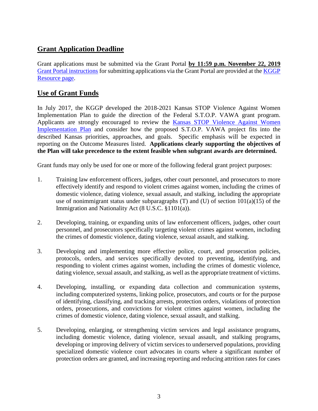# **Grant Application Deadline**

Grant applications must be submitted via the Grant Portal **by 11:59 p.m. November 22, 2019** [Grant Portal instructions](http://grants.ks.gov/docs/default-source/how-to-guides/application-portal-instructions.pdf?sfvrsn=4) for submitting applications via the Grant Portal are provided at the [KGGP](http://www.grants.ks.gov/resources/getting-started)  [Resource page.](http://www.grants.ks.gov/resources/getting-started)

# **Use of Grant Funds**

In July 2017, the KGGP developed the 2018-2021 Kansas STOP Violence Against Women Implementation Plan to guide the direction of the Federal S.T.O.P. VAWA grant program. Applicants are strongly encouraged to review the [Kansas STOP Violence Against Women](http://www.grants.ks.gov/docs/default-source/Grant-Reports/final-ffy-2017-2020-stop-vawa-implementation-plan.pdf?sfvrsn=2)  [Implementation Plan](http://www.grants.ks.gov/docs/default-source/Grant-Reports/final-ffy-2017-2020-stop-vawa-implementation-plan.pdf?sfvrsn=2) and consider how the proposed S.T.O.P. VAWA project fits into the described Kansas priorities, approaches, and goals. Specific emphasis will be expected in reporting on the Outcome Measures listed. **Applications clearly supporting the objectives of the Plan will take precedence to the extent feasible when subgrant awards are determined.** 

Grant funds may only be used for one or more of the following federal grant project purposes:

- 1. Training law enforcement officers, judges, other court personnel, and prosecutors to more effectively identify and respond to violent crimes against women, including the crimes of domestic violence, dating violence, sexual assault, and stalking, including the appropriate use of nonimmigrant status under subparagraphs  $(T)$  and  $(U)$  of section  $101(a)(15)$  of the Immigration and Nationality Act (8 U.S.C. §1101(a)).
- 2. Developing, training, or expanding units of law enforcement officers, judges, other court personnel, and prosecutors specifically targeting violent crimes against women, including the crimes of domestic violence, dating violence, sexual assault, and stalking.
- 3. Developing and implementing more effective police, court, and prosecution policies, protocols, orders, and services specifically devoted to preventing, identifying, and responding to violent crimes against women, including the crimes of domestic violence, dating violence, sexual assault, and stalking, as well as the appropriate treatment of victims.
- 4. Developing, installing, or expanding data collection and communication systems, including computerized systems, linking police, prosecutors, and courts or for the purpose of identifying, classifying, and tracking arrests, protection orders, violations of protection orders, prosecutions, and convictions for violent crimes against women, including the crimes of domestic violence, dating violence, sexual assault, and stalking.
- 5. Developing, enlarging, or strengthening victim services and legal assistance programs, including domestic violence, dating violence, sexual assault, and stalking programs, developing or improving delivery of victim services to underserved populations, providing specialized domestic violence court advocates in courts where a significant number of protection orders are granted, and increasing reporting and reducing attrition rates for cases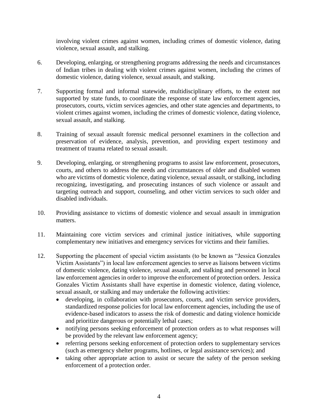involving violent crimes against women, including crimes of domestic violence, dating violence, sexual assault, and stalking.

- 6. Developing, enlarging, or strengthening programs addressing the needs and circumstances of Indian tribes in dealing with violent crimes against women, including the crimes of domestic violence, dating violence, sexual assault, and stalking.
- 7. Supporting formal and informal statewide, multidisciplinary efforts, to the extent not supported by state funds, to coordinate the response of state law enforcement agencies, prosecutors, courts, victim services agencies, and other state agencies and departments, to violent crimes against women, including the crimes of domestic violence, dating violence, sexual assault, and stalking.
- 8. Training of sexual assault forensic medical personnel examiners in the collection and preservation of evidence, analysis, prevention, and providing expert testimony and treatment of trauma related to sexual assault.
- 9. Developing, enlarging, or strengthening programs to assist law enforcement, prosecutors, courts, and others to address the needs and circumstances of older and disabled women who are victims of domestic violence, dating violence, sexual assault, or stalking, including recognizing, investigating, and prosecuting instances of such violence or assault and targeting outreach and support, counseling, and other victim services to such older and disabled individuals.
- 10. Providing assistance to victims of domestic violence and sexual assault in immigration matters.
- 11. Maintaining core victim services and criminal justice initiatives, while supporting complementary new initiatives and emergency services for victims and their families.
- 12. Supporting the placement of special victim assistants (to be known as "Jessica Gonzales Victim Assistants") in local law enforcement agencies to serve as liaisons between victims of domestic violence, dating violence, sexual assault, and stalking and personnel in local law enforcement agencies in order to improve the enforcement of protection orders. Jessica Gonzales Victim Assistants shall have expertise in domestic violence, dating violence, sexual assault, or stalking and may undertake the following activities:
	- developing, in collaboration with prosecutors, courts, and victim service providers, standardized response policies for local law enforcement agencies, including the use of evidence-based indicators to assess the risk of domestic and dating violence homicide and prioritize dangerous or potentially lethal cases;
	- notifying persons seeking enforcement of protection orders as to what responses will be provided by the relevant law enforcement agency;
	- referring persons seeking enforcement of protection orders to supplementary services (such as emergency shelter programs, hotlines, or legal assistance services); and
	- taking other appropriate action to assist or secure the safety of the person seeking enforcement of a protection order.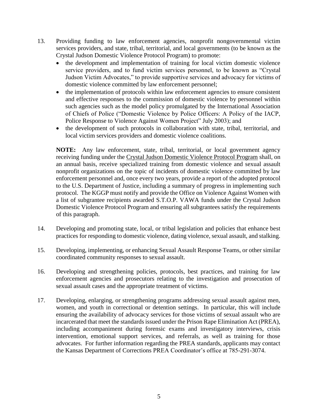- 13. Providing funding to law enforcement agencies, nonprofit nongovernmental victim services providers, and state, tribal, territorial, and local governments (to be known as the Crystal Judson Domestic Violence Protocol Program) to promote:
	- the development and implementation of training for local victim domestic violence service providers, and to fund victim services personnel, to be known as "Crystal Judson Victim Advocates," to provide supportive services and advocacy for victims of domestic violence committed by law enforcement personnel;
	- the implementation of protocols within law enforcement agencies to ensure consistent and effective responses to the commission of domestic violence by personnel within such agencies such as the model policy promulgated by the International Association of Chiefs of Police ("Domestic Violence by Police Officers: A Policy of the IACP, Police Response to Violence Against Women Project" July 2003); and
	- the development of such protocols in collaboration with state, tribal, territorial, and local victim services providers and domestic violence coalitions.

**NOTE:** Any law enforcement, state, tribal, territorial, or local government agency receiving funding under the Crystal Judson Domestic Violence Protocol Program shall, on an annual basis, receive specialized training from domestic violence and sexual assault nonprofit organizations on the topic of incidents of domestic violence committed by law enforcement personnel and, once every two years, provide a report of the adopted protocol to the U.S. Department of Justice, including a summary of progress in implementing such protocol. The KGGP must notify and provide the Office on Violence Against Women with a list of subgrantee recipients awarded S.T.O.P. VAWA funds under the Crystal Judson Domestic Violence Protocol Program and ensuring all subgrantees satisfy the requirements of this paragraph.

- 14. Developing and promoting state, local, or tribal legislation and policies that enhance best practices for responding to domestic violence, dating violence, sexual assault, and stalking.
- 15. Developing, implementing, or enhancing Sexual Assault Response Teams, or other similar coordinated community responses to sexual assault.
- 16. Developing and strengthening policies, protocols, best practices, and training for law enforcement agencies and prosecutors relating to the investigation and prosecution of sexual assault cases and the appropriate treatment of victims.
- 17. Developing, enlarging, or strengthening programs addressing sexual assault against men, women, and youth in correctional or detention settings. In particular, this will include ensuring the availability of advocacy services for those victims of sexual assault who are incarcerated that meet the standards issued under the Prison Rape Elimination Act (PREA), including accompaniment during forensic exams and investigatory interviews, crisis intervention, emotional support services, and referrals, as well as training for those advocates. For further information regarding the PREA standards, applicants may contact the Kansas Department of Corrections PREA Coordinator's office at 785-291-3074.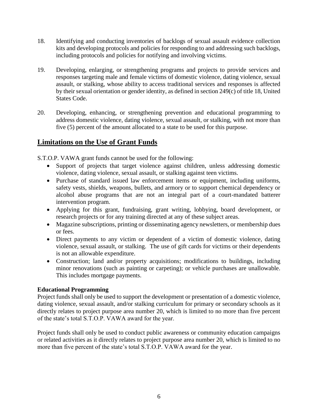- 18. Identifying and conducting inventories of backlogs of sexual assault evidence collection kits and developing protocols and policies for responding to and addressing such backlogs, including protocols and policies for notifying and involving victims.
- 19. Developing, enlarging, or strengthening programs and projects to provide services and responses targeting male and female victims of domestic violence, dating violence, sexual assault, or stalking, whose ability to access traditional services and responses is affected by their sexual orientation or gender identity, as defined in section 249(c) of title 18, United States Code.
- 20. Developing, enhancing, or strengthening prevention and educational programming to address domestic violence, dating violence, sexual assault, or stalking, with not more than five (5) percent of the amount allocated to a state to be used for this purpose.

# **Limitations on the Use of Grant Funds**

S.T.O.P. VAWA grant funds cannot be used for the following:

- Support of projects that target violence against children, unless addressing domestic violence, dating violence, sexual assault, or stalking against teen victims.
- Purchase of standard issued law enforcement items or equipment, including uniforms, safety vests, shields, weapons, bullets, and armory or to support chemical dependency or alcohol abuse programs that are not an integral part of a court-mandated batterer intervention program.
- Applying for this grant, fundraising, grant writing, lobbying, board development, or research projects or for any training directed at any of these subject areas.
- Magazine subscriptions, printing or disseminating agency newsletters, or membership dues or fees.
- Direct payments to any victim or dependent of a victim of domestic violence, dating violence, sexual assault, or stalking. The use of gift cards for victims or their dependents is not an allowable expenditure.
- Construction; land and/or property acquisitions; modifications to buildings, including minor renovations (such as painting or carpeting); or vehicle purchases are unallowable. This includes mortgage payments.

#### **Educational Programming**

Project funds shall only be used to support the development or presentation of a domestic violence, dating violence, sexual assault, and/or stalking curriculum for primary or secondary schools as it directly relates to project purpose area number 20, which is limited to no more than five percent of the state's total S.T.O.P. VAWA award for the year.

Project funds shall only be used to conduct public awareness or community education campaigns or related activities as it directly relates to project purpose area number 20, which is limited to no more than five percent of the state's total S.T.O.P. VAWA award for the year.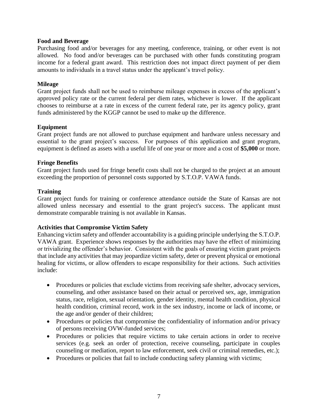#### **Food and Beverage**

Purchasing food and/or beverages for any meeting, conference, training, or other event is not allowed. No food and/or beverages can be purchased with other funds constituting program income for a federal grant award. This restriction does not impact direct payment of per diem amounts to individuals in a travel status under the applicant's travel policy.

#### **Mileage**

Grant project funds shall not be used to reimburse mileage expenses in excess of the applicant's approved policy rate or the current federal per diem rates, whichever is lower. If the applicant chooses to reimburse at a rate in excess of the current federal rate, per its agency policy, grant funds administered by the KGGP cannot be used to make up the difference.

#### **Equipment**

Grant project funds are not allowed to purchase equipment and hardware unless necessary and essential to the grant project's success. For purposes of this application and grant program, equipment is defined as assets with a useful life of one year or more and a cost of **\$5,000** or more.

#### **Fringe Benefits**

Grant project funds used for fringe benefit costs shall not be charged to the project at an amount exceeding the proportion of personnel costs supported by S.T.O.P. VAWA funds.

#### **Training**

Grant project funds for training or conference attendance outside the State of Kansas are not allowed unless necessary and essential to the grant project's success. The applicant must demonstrate comparable training is not available in Kansas.

#### **Activities that Compromise Victim Safety**

Enhancing victim safety and offender accountability is a guiding principle underlying the S.T.O.P. VAWA grant. Experience shows responses by the authorities may have the effect of minimizing or trivializing the offender's behavior. Consistent with the goals of ensuring victim grant projects that include any activities that may jeopardize victim safety, deter or prevent physical or emotional healing for victims, or allow offenders to escape responsibility for their actions. Such activities include:

- Procedures or policies that exclude victims from receiving safe shelter, advocacy services, counseling, and other assistance based on their actual or perceived sex, age, immigration status, race, religion, sexual orientation, gender identity, mental health condition, physical health condition, criminal record, work in the sex industry, income or lack of income, or the age and/or gender of their children;
- Procedures or policies that compromise the confidentiality of information and/or privacy of persons receiving OVW-funded services;
- Procedures or policies that require victims to take certain actions in order to receive services (e.g. seek an order of protection, receive counseling, participate in couples counseling or mediation, report to law enforcement, seek civil or criminal remedies, etc.);
- Procedures or policies that fail to include conducting safety planning with victims;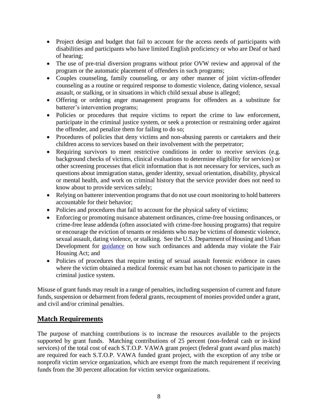- Project design and budget that fail to account for the access needs of participants with disabilities and participants who have limited English proficiency or who are Deaf or hard of hearing;
- The use of pre-trial diversion programs without prior OVW review and approval of the program or the automatic placement of offenders in such programs;
- Couples counseling, family counseling, or any other manner of joint victim-offender counseling as a routine or required response to domestic violence, dating violence, sexual assault, or stalking, or in situations in which child sexual abuse is alleged;
- Offering or ordering anger management programs for offenders as a substitute for batterer's intervention programs;
- Policies or procedures that require victims to report the crime to law enforcement, participate in the criminal justice system, or seek a protection or restraining order against the offender, and penalize them for failing to do so;
- Procedures of policies that deny victims and non-abusing parents or caretakers and their children access to services based on their involvement with the perpetrator;
- Requiring survivors to meet restrictive conditions in order to receive services (e.g. background checks of victims, clinical evaluations to determine eligibility for services) or other screening processes that elicit information that is not necessary for services, such as questions about immigration status, gender identity, sexual orientation, disability, physical or mental health, and work on criminal history that the service provider does not need to know about to provide services safely;
- Relying on batterer intervention programs that do not use court monitoring to hold batterers accountable for their behavior;
- Policies and procedures that fail to account for the physical safety of victims;
- Enforcing or promoting nuisance abatement ordinances, crime-free housing ordinances, or crime-free lease addenda (often associated with crime-free housing programs) that require or encourage the eviction of tenants or residents who may be victims of domestic violence, sexual assault, dating violence, or stalking. See the U.S. Department of Housing and Urban Development for [guidance](https://www.hud.gov/sites/documents/FINALNUISANCEORDGDNCE.PDF) on how such ordinances and addenda may violate the Fair Housing Act; and
- Policies of procedures that require testing of sexual assault forensic evidence in cases where the victim obtained a medical forensic exam but has not chosen to participate in the criminal justice system.

Misuse of grant funds may result in a range of penalties, including suspension of current and future funds, suspension or debarment from federal grants, recoupment of monies provided under a grant, and civil and/or criminal penalties.

# **Match Requirements**

The purpose of matching contributions is to increase the resources available to the projects supported by grant funds. Matching contributions of 25 percent (non-federal cash or in-kind services) of the total cost of each S.T.O.P. VAWA grant project (federal grant award plus match) are required for each S.T.O.P. VAWA funded grant project, with the exception of any tribe or nonprofit victim service organization, which are exempt from the match requirement if receiving funds from the 30 percent allocation for victim service organizations.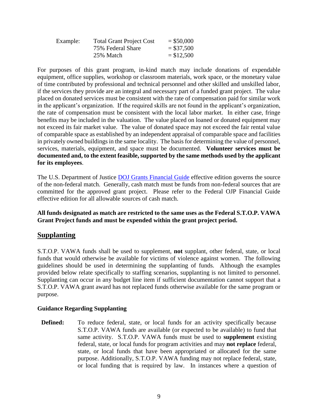| Example: | <b>Total Grant Project Cost</b> | $=$ \$50,000 |
|----------|---------------------------------|--------------|
|          | 75% Federal Share               | $= $37,500$  |
|          | 25% Match                       | $= $12,500$  |

For purposes of this grant program, in-kind match may include donations of expendable equipment, office supplies, workshop or classroom materials, work space, or the monetary value of time contributed by professional and technical personnel and other skilled and unskilled labor, if the services they provide are an integral and necessary part of a funded grant project. The value placed on donated services must be consistent with the rate of compensation paid for similar work in the applicant's organization. If the required skills are not found in the applicant's organization, the rate of compensation must be consistent with the local labor market. In either case, fringe benefits may be included in the valuation. The value placed on loaned or donated equipment may not exceed its fair market value. The value of donated space may not exceed the fair rental value of comparable space as established by an independent appraisal of comparable space and facilities in privately owned buildings in the same locality. The basis for determining the value of personnel, services, materials, equipment, and space must be documented. **Volunteer services must be documented and, to the extent feasible, supported by the same methods used by the applicant for its employees**.

The U.S. Department of Justice [DOJ Grants Financial Guide](http://ojp.gov/financialguide/DOJ/index.htm) effective edition governs the source of the non-federal match. Generally, cash match must be funds from non-federal sources that are committed for the approved grant project. Please refer to the Federal OJP Financial Guide effective edition for all allowable sources of cash match.

**All funds designated as match are restricted to the same uses as the Federal S.T.O.P. VAWA Grant Project funds and must be expended within the grant project period.**

# **Supplanting**

S.T.O.P. VAWA funds shall be used to supplement, **not** supplant, other federal, state, or local funds that would otherwise be available for victims of violence against women. The following guidelines should be used in determining the supplanting of funds. Although the examples provided below relate specifically to staffing scenarios, supplanting is not limited to personnel. Supplanting can occur in any budget line item if sufficient documentation cannot support that a S.T.O.P. VAWA grant award has not replaced funds otherwise available for the same program or purpose.

#### **Guidance Regarding Supplanting**

**Defined:** To reduce federal, state, or local funds for an activity specifically because S.T.O.P. VAWA funds are available (or expected to be available) to fund that same activity. S.T.O.P. VAWA funds must be used to **supplement** existing federal, state, or local funds for program activities and may **not replace** federal, state, or local funds that have been appropriated or allocated for the same purpose. Additionally, S.T.O.P. VAWA funding may not replace federal, state, or local funding that is required by law. In instances where a question of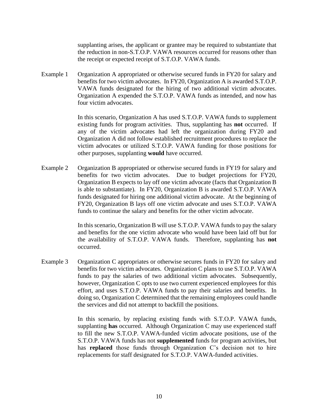supplanting arises, the applicant or grantee may be required to substantiate that the reduction in non-S.T.O.P. VAWA resources occurred for reasons other than the receipt or expected receipt of S.T.O.P. VAWA funds.

Example 1 Organization A appropriated or otherwise secured funds in FY20 for salary and benefits for two victim advocates. In FY20, Organization A is awarded S.T.O.P. VAWA funds designated for the hiring of two additional victim advocates. Organization A expended the S.T.O.P. VAWA funds as intended, and now has four victim advocates.

> In this scenario, Organization A has used S.T.O.P. VAWA funds to supplement existing funds for program activities. Thus, supplanting has **not** occurred. If any of the victim advocates had left the organization during FY20 and Organization A did not follow established recruitment procedures to replace the victim advocates or utilized S.T.O.P. VAWA funding for those positions for other purposes, supplanting **would** have occurred.

Example 2 Organization B appropriated or otherwise secured funds in FY19 for salary and benefits for two victim advocates. Due to budget projections for FY20, Organization B expects to lay off one victim advocate (facts that Organization B is able to substantiate). In FY20, Organization B is awarded S.T.O.P. VAWA funds designated for hiring one additional victim advocate. At the beginning of FY20, Organization B lays off one victim advocate and uses S.T.O.P. VAWA funds to continue the salary and benefits for the other victim advocate.

> In this scenario, Organization B will use S.T.O.P. VAWA funds to pay the salary and benefits for the one victim advocate who would have been laid off but for the availability of S.T.O.P. VAWA funds. Therefore, supplanting has **not** occurred.

Example 3 Organization C appropriates or otherwise secures funds in FY20 for salary and benefits for two victim advocates. Organization C plans to use S.T.O.P. VAWA funds to pay the salaries of two additional victim advocates. Subsequently, however, Organization C opts to use two current experienced employees for this effort, and uses S.T.O.P. VAWA funds to pay their salaries and benefits. In doing so, Organization C determined that the remaining employees could handle the services and did not attempt to backfill the positions.

> In this scenario, by replacing existing funds with S.T.O.P. VAWA funds, supplanting **has** occurred. Although Organization C may use experienced staff to fill the new S.T.O.P. VAWA-funded victim advocate positions, use of the S.T.O.P. VAWA funds has not **supplemented** funds for program activities, but has **replaced** those funds through Organization C's decision not to hire replacements for staff designated for S.T.O.P. VAWA-funded activities.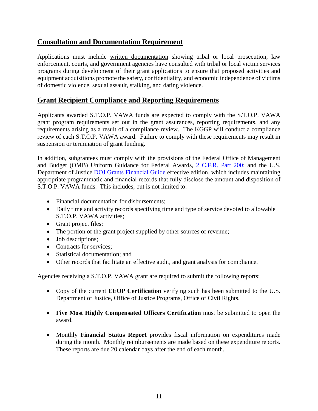# **Consultation and Documentation Requirement**

Applications must include written documentation showing tribal or local prosecution, law enforcement, courts, and government agencies have consulted with tribal or local victim services programs during development of their grant applications to ensure that proposed activities and equipment acquisitions promote the safety, confidentiality, and economic independence of victims of domestic violence, sexual assault, stalking, and dating violence.

# **Grant Recipient Compliance and Reporting Requirements**

Applicants awarded S.T.O.P. VAWA funds are expected to comply with the S.T.O.P. VAWA grant program requirements set out in the grant assurances, reporting requirements, and any requirements arising as a result of a compliance review. The KGGP will conduct a compliance review of each S.T.O.P. VAWA award. Failure to comply with these requirements may result in suspension or termination of grant funding.

In addition, subgrantees must comply with the provisions of the Federal Office of Management and Budget (OMB) Uniform Guidance for Federal Awards, [2 C.F.R.](http://www.ecfr.gov/cgi-bin/text-idx?SID=2c6d1c9f8de1f9619110b4599d84a234&mc=true&node=pt2.1.200&rgn=div5#_top) Part 200; and the U.S. Department of Justice [DOJ Grants Financial Guide](http://ojp.gov/financialguide/DOJ/index.htm) effective edition, which includes maintaining appropriate programmatic and financial records that fully disclose the amount and disposition of S.T.O.P. VAWA funds. This includes, but is not limited to:

- Financial documentation for disbursements:
- Daily time and activity records specifying time and type of service devoted to allowable S.T.O.P. VAWA activities;
- Grant project files;
- The portion of the grant project supplied by other sources of revenue;
- Job descriptions;
- Contracts for services:
- Statistical documentation; and
- Other records that facilitate an effective audit, and grant analysis for compliance.

Agencies receiving a S.T.O.P. VAWA grant are required to submit the following reports:

- Copy of the current **EEOP Certification** verifying such has been submitted to the U.S. Department of Justice, Office of Justice Programs, Office of Civil Rights.
- **Five Most Highly Compensated Officers Certification** must be submitted to open the award.
- Monthly **Financial Status Report** provides fiscal information on expenditures made during the month. Monthly reimbursements are made based on these expenditure reports. These reports are due 20 calendar days after the end of each month.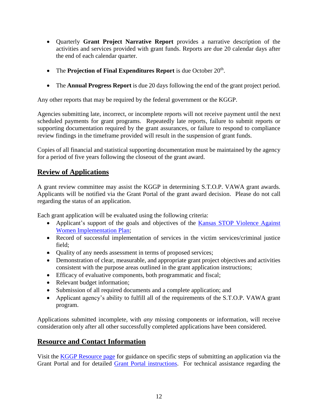- Quarterly **Grant Project Narrative Report** provides a narrative description of the activities and services provided with grant funds. Reports are due 20 calendar days after the end of each calendar quarter.
- The **Projection of Final Expenditures Report** is due October 20<sup>th</sup>.
- The **Annual Progress Report** is due 20 days following the end of the grant project period.

Any other reports that may be required by the federal government or the KGGP.

Agencies submitting late, incorrect, or incomplete reports will not receive payment until the next scheduled payments for grant programs. Repeatedly late reports, failure to submit reports or supporting documentation required by the grant assurances, or failure to respond to compliance review findings in the timeframe provided will result in the suspension of grant funds.

Copies of all financial and statistical supporting documentation must be maintained by the agency for a period of five years following the closeout of the grant award.

# **Review of Applications**

A grant review committee may assist the KGGP in determining S.T.O.P. VAWA grant awards. Applicants will be notified via the Grant Portal of the grant award decision. Please do not call regarding the status of an application.

Each grant application will be evaluated using the following criteria:

- Applicant's support of the goals and objectives of the Kansas STOP Violence Against [Women Implementation Plan;](http://www.grants.ks.gov/docs/default-source/Grant-Reports/final-ffy-2017-2020-stop-vawa-implementation-plan.pdf?sfvrsn=2)
- Record of successful implementation of services in the victim services/criminal justice field;
- Quality of any needs assessment in terms of proposed services;
- Demonstration of clear, measurable, and appropriate grant project objectives and activities consistent with the purpose areas outlined in the grant application instructions;
- Efficacy of evaluative components, both programmatic and fiscal;
- Relevant budget information;
- Submission of all required documents and a complete application; and
- Applicant agency's ability to fulfill all of the requirements of the S.T.O.P. VAWA grant program.

Applications submitted incomplete, with *any* missing components or information, will receive consideration only after all other successfully completed applications have been considered.

# **Resource and Contact Information**

Visit the [KGGP Resource page](http://www.grants.ks.gov/resources/getting-started) for guidance on specific steps of submitting an application via the Grant Portal and for detailed [Grant Portal instructions.](http://grants.ks.gov/docs/default-source/how-to-guides/application-portal-instructions.pdf?sfvrsn=4) For technical assistance regarding the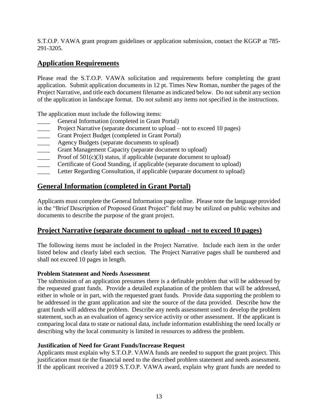S.T.O.P. VAWA grant program guidelines or application submission, contact the KGGP at 785- 291-3205.

# **Application Requirements**

Please read the S.T.O.P. VAWA solicitation and requirements before completing the grant application. Submit application documents in 12 pt. Times New Roman, number the pages of the Project Narrative, and title each document filename as indicated below. Do not submit any section of the application in landscape format. Do not submit any items not specified in the instructions.

The application must include the following items:

- General Information (completed in Grant Portal)
- Project Narrative (separate document to upload not to exceed 10 pages)
- Grant Project Budget (completed in Grant Portal)
- **EXECUTE:** Agency Budgets (separate documents to upload)
- \_\_\_\_ Grant Management Capacity (separate document to upload)
- Proof of  $501(c)(3)$  status, if applicable (separate document to upload)
- Certificate of Good Standing, if applicable (separate document to upload)
- Letter Regarding Consultation, if applicable (separate document to upload)

# **General Information (completed in Grant Portal)**

Applicants must complete the General Information page online. Please note the language provided in the "Brief Description of Proposed Grant Project" field may be utilized on public websites and documents to describe the purpose of the grant project.

# **Project Narrative (separate document to upload - not to exceed 10 pages)**

The following items must be included in the Project Narrative. Include each item in the order listed below and clearly label each section. The Project Narrative pages shall be numbered and shall not exceed 10 pages in length.

#### **Problem Statement and Needs Assessment**

The submission of an application presumes there is a definable problem that will be addressed by the requested grant funds. Provide a detailed explanation of the problem that will be addressed, either in whole or in part, with the requested grant funds. Provide data supporting the problem to be addressed in the grant application and site the source of the data provided. Describe how the grant funds will address the problem. Describe any needs assessment used to develop the problem statement, such as an evaluation of agency service activity or other assessment. If the applicant is comparing local data to state or national data, include information establishing the need locally or describing why the local community is limited in resources to address the problem.

#### **Justification of Need for Grant Funds/Increase Request**

Applicants must explain why S.T.O.P. VAWA funds are needed to support the grant project. This justification must tie the financial need to the described problem statement and needs assessment. If the applicant received a 2019 S.T.O.P. VAWA award, explain why grant funds are needed to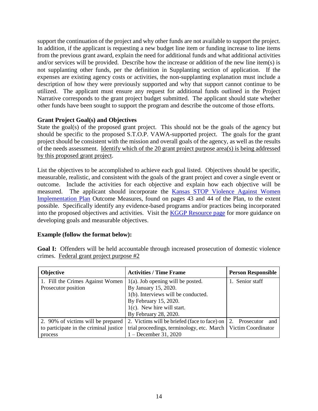support the continuation of the project and why other funds are not available to support the project. In addition, if the applicant is requesting a new budget line item or funding increase to line items from the previous grant award, explain the need for additional funds and what additional activities and/or services will be provided. Describe how the increase or addition of the new line item(s) is not supplanting other funds, per the definition in Supplanting section of application. If the expenses are existing agency costs or activities, the non-supplanting explanation must include a description of how they were previously supported and why that support cannot continue to be utilized. The applicant must ensure any request for additional funds outlined in the Project Narrative corresponds to the grant project budget submitted. The applicant should state whether other funds have been sought to support the program and describe the outcome of those efforts.

#### **Grant Project Goal(s) and Objectives**

State the goal(s) of the proposed grant project. This should not be the goals of the agency but should be specific to the proposed S.T.O.P. VAWA-supported project. The goals for the grant project should be consistent with the mission and overall goals of the agency, as well as the results of the needs assessment. Identify which of the 20 grant project purpose area(s) is being addressed by this proposed grant project.

List the objectives to be accomplished to achieve each goal listed. Objectives should be specific, measurable, realistic, and consistent with the goals of the grant project and cover a single event or outcome. Include the activities for each objective and explain how each objective will be measured. The applicant should incorporate the [Kansas STOP Violence Against Women](http://www.grants.ks.gov/docs/default-source/Grant-Reports/final-ffy-2017-2020-stop-vawa-implementation-plan.pdf?sfvrsn=2)  [Implementation Plan](http://www.grants.ks.gov/docs/default-source/Grant-Reports/final-ffy-2017-2020-stop-vawa-implementation-plan.pdf?sfvrsn=2) Outcome Measures, found on pages 43 and 44 of the Plan, to the extent possible. Specifically identify any evidence-based programs and/or practices being incorporated into the proposed objectives and activities. Visit the [KGGP Resource page](http://www.grants.ks.gov/resources/getting-started) for more guidance on developing goals and measurable objectives.

#### **Example (follow the format below):**

| Objective                              | <b>Activities / Time Frame</b>               | <b>Person Responsible</b> |  |  |
|----------------------------------------|----------------------------------------------|---------------------------|--|--|
| 1. Fill the Crimes Against Women       | $1(a)$ . Job opening will be posted.         | 1. Senior staff           |  |  |
| Prosecutor position                    | By January 15, 2020.                         |                           |  |  |
|                                        | 1(b). Interviews will be conducted.          |                           |  |  |
|                                        | By February 15, 2020.                        |                           |  |  |
|                                        | $1(c)$ . New hire will start.                |                           |  |  |
|                                        | By February 28, 2020.                        |                           |  |  |
| 2. 90% of victims will be prepared     | 2. Victims will be briefed (face to face) on | 2.<br>Prosecutor<br>and   |  |  |
| to participate in the criminal justice | trial proceedings, terminology, etc. March   | Victim Coordinator        |  |  |
| process                                | 1 – December 31, 2020                        |                           |  |  |

**Goal I:** Offenders will be held accountable through increased prosecution of domestic violence crimes. Federal grant project purpose #2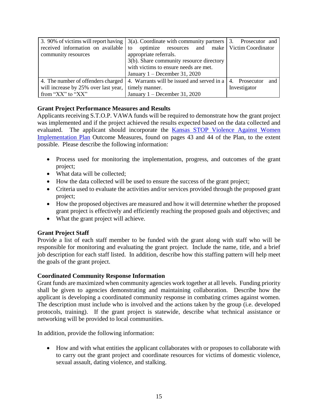|                                      | 3. 90% of victims will report having $\vert$ 3(a). Coordinate with community partners $\vert$ 3. Prosecutor and |                      |
|--------------------------------------|-----------------------------------------------------------------------------------------------------------------|----------------------|
| received information on available to | optimize resources and make Victim Coordinator                                                                  |                      |
| community resources                  | appropriate referrals.                                                                                          |                      |
|                                      | 3(b). Share community resource directory                                                                        |                      |
|                                      | with victims to ensure needs are met.                                                                           |                      |
|                                      | January $1 -$ December 31, 2020                                                                                 |                      |
| 4. The number of offenders charged   | 4. Warrants will be issued and served in a                                                                      | 4. Prosecutor<br>and |
| will increase by 25% over last year, | timely manner.                                                                                                  | Investigator         |
| from "XX" to "XX"                    | January $1 -$ December 31, 2020                                                                                 |                      |

#### **Grant Project Performance Measures and Results**

Applicants receiving S.T.O.P. VAWA funds will be required to demonstrate how the grant project was implemented and if the project achieved the results expected based on the data collected and evaluated. The applicant should incorporate the [Kansas STOP Violence Against Women](http://www.grants.ks.gov/docs/default-source/Grant-Reports/final-ffy-2017-2020-stop-vawa-implementation-plan.pdf?sfvrsn=2)  [Implementation Plan](http://www.grants.ks.gov/docs/default-source/Grant-Reports/final-ffy-2017-2020-stop-vawa-implementation-plan.pdf?sfvrsn=2) Outcome Measures, found on pages 43 and 44 of the Plan, to the extent possible. Please describe the following information:

- Process used for monitoring the implementation, progress, and outcomes of the grant project;
- What data will be collected:
- How the data collected will be used to ensure the success of the grant project;
- Criteria used to evaluate the activities and/or services provided through the proposed grant project;
- How the proposed objectives are measured and how it will determine whether the proposed grant project is effectively and efficiently reaching the proposed goals and objectives; and
- What the grant project will achieve.

#### **Grant Project Staff**

Provide a list of each staff member to be funded with the grant along with staff who will be responsible for monitoring and evaluating the grant project. Include the name, title, and a brief job description for each staff listed. In addition, describe how this staffing pattern will help meet the goals of the grant project.

#### **Coordinated Community Response Information**

Grant funds are maximized when community agencies work together at all levels. Funding priority shall be given to agencies demonstrating and maintaining collaboration. Describe how the applicant is developing a coordinated community response in combating crimes against women. The description must include who is involved and the actions taken by the group (i.e. developed protocols, training). If the grant project is statewide, describe what technical assistance or networking will be provided to local communities.

In addition, provide the following information:

• How and with what entities the applicant collaborates with or proposes to collaborate with to carry out the grant project and coordinate resources for victims of domestic violence, sexual assault, dating violence, and stalking.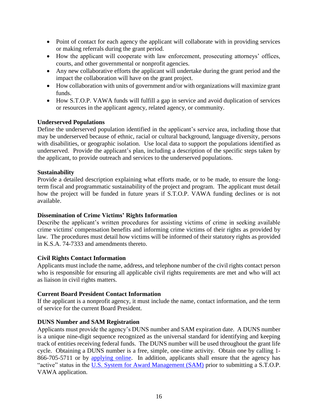- Point of contact for each agency the applicant will collaborate with in providing services or making referrals during the grant period.
- How the applicant will cooperate with law enforcement, prosecuting attorneys' offices, courts, and other governmental or nonprofit agencies.
- Any new collaborative efforts the applicant will undertake during the grant period and the impact the collaboration will have on the grant project.
- How collaboration with units of government and/or with organizations will maximize grant funds.
- How S.T.O.P. VAWA funds will fulfill a gap in service and avoid duplication of services or resources in the applicant agency, related agency, or community.

#### **Underserved Populations**

Define the underserved population identified in the applicant's service area, including those that may be underserved because of ethnic, racial or cultural background, language diversity, persons with disabilities, or geographic isolation. Use local data to support the populations identified as underserved. Provide the applicant's plan, including a description of the specific steps taken by the applicant, to provide outreach and services to the underserved populations.

#### **Sustainability**

Provide a detailed description explaining what efforts made, or to be made, to ensure the longterm fiscal and programmatic sustainability of the project and program. The applicant must detail how the project will be funded in future years if S.T.O.P. VAWA funding declines or is not available.

#### **Dissemination of Crime Victims' Rights Information**

Describe the applicant's written procedures for assisting victims of crime in seeking available crime victims' compensation benefits and informing crime victims of their rights as provided by law. The procedures must detail how victims will be informed of their statutory rights as provided in K.S.A. 74-7333 and amendments thereto.

#### **Civil Rights Contact Information**

Applicants must include the name, address, and telephone number of the civil rights contact person who is responsible for ensuring all applicable civil rights requirements are met and who will act as liaison in civil rights matters.

#### **Current Board President Contact Information**

If the applicant is a nonprofit agency, it must include the name, contact information, and the term of service for the current Board President.

#### **DUNS Number and SAM Registration**

Applicants must provide the agency's DUNS number and SAM expiration date. A DUNS number is a unique nine-digit sequence recognized as the universal standard for identifying and keeping track of entities receiving federal funds. The DUNS number will be used throughout the grant life cycle. Obtaining a DUNS number is a free, simple, one-time activity. Obtain one by calling 1- 866-705-5711 or by [applying online.](https://www.dandb.com/product/companyupdate/companyupdateLogin?execution=e1s1) In addition, applicants shall ensure that the agency has "active" status in the [U.S. System for Award Management \(SAM\)](http://www.sam.gov/) prior to submitting a S.T.O.P. VAWA application.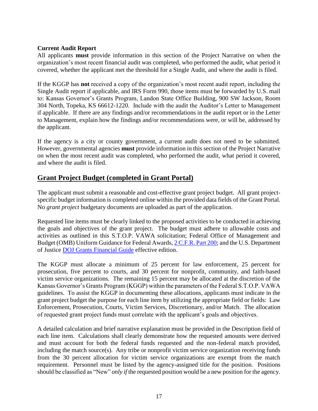#### **Current Audit Report**

All applicants **must** provide information in this section of the Project Narrative on when the organization's most recent financial audit was completed, who performed the audit, what period it covered, whether the applicant met the threshold for a Single Audit, and where the audit is filed.

If the KGGP has **not** received a copy of the organization's most recent audit report, including the Single Audit report if applicable, and IRS Form 990, those items must be forwarded by U.S. mail to: Kansas Governor's Grants Program, Landon State Office Building, 900 SW Jackson, Room 304 North, Topeka, KS 66612-1220. Include with the audit the Auditor's Letter to Management if applicable. If there are any findings and/or recommendations in the audit report or in the Letter to Management, explain how the findings and/or recommendations were, or will be, addressed by the applicant.

If the agency is a city or county government, a current audit does not need to be submitted. However, governmental agencies **must** provide information in this section of the Project Narrative on when the most recent audit was completed, who performed the audit, what period it covered, and where the audit is filed.

# **Grant Project Budget (completed in Grant Portal)**

The applicant must submit a reasonable and cost-effective grant project budget. All grant projectspecific budget information is completed online within the provided data fields of the Grant Portal. No *grant project* budgetary documents are uploaded as part of the application.

Requested line items must be clearly linked to the proposed activities to be conducted in achieving the goals and objectives of the grant project. The budget must adhere to allowable costs and activities as outlined in this S.T.O.P. VAWA solicitation; Federal Office of Management and Budget (OMB) Uniform Guidance for Federal Awards[, 2 C.F.R.](http://www.ecfr.gov/cgi-bin/text-idx?SID=2c6d1c9f8de1f9619110b4599d84a234&mc=true&node=pt2.1.200&rgn=div5#_top) Part 200; and the U.S. Department of Justice [DOJ Grants Financial Guide](http://ojp.gov/financialguide/DOJ/index.htm) effective edition.

The KGGP must allocate a minimum of 25 percent for law enforcement, 25 percent for prosecution, five percent to courts, and 30 percent for nonprofit, community, and faith-based victim service organizations. The remaining 15 percent may be allocated at the discretion of the Kansas Governor's Grants Program (KGGP) within the parameters of the Federal S.T.O.P. VAWA guidelines. To assist the KGGP in documenting these allocations, applicants must indicate in the grant project budget the purpose for each line item by utilizing the appropriate field or fields: Law Enforcement, Prosecution, Courts, Victim Services, Discretionary, and/or Match. The allocation of requested grant project funds must correlate with the applicant's goals and objectives.

A detailed calculation and brief narrative explanation must be provided in the Description field of each line item. Calculations shall clearly demonstrate how the requested amounts were derived and must account for both the federal funds requested and the non-federal match provided, including the match source(s). Any tribe or nonprofit victim service organization receiving funds from the 30 percent allocation for victim service organizations are exempt from the match requirement. Personnel must be listed by the agency-assigned title for the position. Positions should be classified as "New" *only if* the requested position would be a new position for the agency.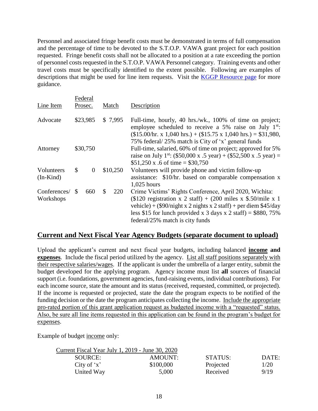Personnel and associated fringe benefit costs must be demonstrated in terms of full compensation and the percentage of time to be devoted to the S.T.O.P. VAWA grant project for each position requested. Fringe benefit costs shall not be allocated to a position at a rate exceeding the portion of personnel costs requested in the S.T.O.P. VAWA Personnel category. Training events and other travel costs must be specifically identified to the extent possible. Following are examples of descriptions that might be used for line item requests. Visit the **KGGP Resource page** for more guidance.

| Line Item                 |                     | Federal<br>Prosec. |    | Match                                                                                                                                                                                                                                           | Description                                                                                                                                                                                                                                                                                                         |
|---------------------------|---------------------|--------------------|----|-------------------------------------------------------------------------------------------------------------------------------------------------------------------------------------------------------------------------------------------------|---------------------------------------------------------------------------------------------------------------------------------------------------------------------------------------------------------------------------------------------------------------------------------------------------------------------|
| Advocate                  | \$23,985<br>\$7,995 |                    |    | Full-time, hourly, 40 hrs./wk., 100% of time on project;<br>employee scheduled to receive a 5% raise on July $1^{st}$ .<br>$($15.00/hr. x 1,040 hrs.) + ($15.75 x 1,040 hrs.) = $31,980,$<br>75% federal/25% match is City of 'x' general funds |                                                                                                                                                                                                                                                                                                                     |
| Attorney                  |                     | \$30,750           |    |                                                                                                                                                                                                                                                 | Full-time, salaried, 60% of time on project; approved for 5%<br>raise on July 1 <sup>st</sup> : (\$50,000 x .5 year) + (\$52,500 x .5 year) =<br>\$51,250 x .6 of time = \$30,750                                                                                                                                   |
| Volunteers<br>$(In-Kind)$ | \$                  | $\overline{0}$     |    | \$10,250                                                                                                                                                                                                                                        | Volunteers will provide phone and victim follow-up<br>assistance: \$10/hr. based on comparable compensation x<br>$1,025$ hours                                                                                                                                                                                      |
| Conferences/<br>Workshops | -S                  | 660                | \$ | 220                                                                                                                                                                                                                                             | Crime Victims' Rights Conference, April 2020, Wichita:<br>$($120$ registration x 2 staff) + $(200$ miles x \$.50/mile x 1<br>vehicle) + $(\frac{$90}{night} x 2$ nights x 2 staff) + per diem $\frac{$45}{day}$<br>less \$15 for lunch provided x 3 days x 2 staff) = \$880, 75%<br>federal/25% match is city funds |

# **Current and Next Fiscal Year Agency Budgets (separate document to upload)**

Upload the applicant's current and next fiscal year budgets, including balanced **income and expenses**. Include the fiscal period utilized by the agency. List all staff positions separately with their respective salaries/wages. If the applicant is under the umbrella of a larger entity, submit the budget developed for the applying program. Agency income must list **all** sources of financial support (i.e. foundations, government agencies, fund-raising events, individual contributions). For each income source, state the amount and its status (received, requested, committed, or projected). If the income is requested or projected, state the date the program expects to be notified of the funding decision or the date the program anticipates collecting the income. Include the appropriate pro-rated portion of this grant application request as budgeted income with a "requested" status. Also, be sure all line items requested in this application can be found in the program's budget for expenses.

Example of budget income only:

| Current Fiscal Year July 1, 2019 - June 30, 2020 |           |           |       |
|--------------------------------------------------|-----------|-----------|-------|
| SOURCE:                                          | AMOUNT:   | STATUS:   | DATE: |
| City of $x^*$                                    | \$100,000 | Projected | 1/20  |
| United Way                                       | 5,000     | Received  | 9/19  |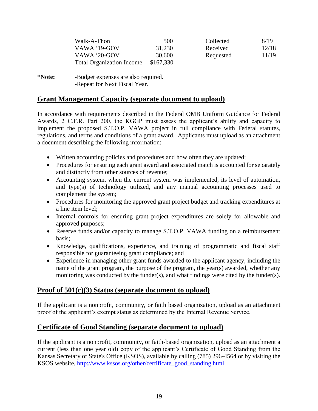| Walk-A-Thon                      | 500       | Collected | 8/19  |
|----------------------------------|-----------|-----------|-------|
| VAWA '19-GOV                     | 31,230    | Received  | 12/18 |
| VAWA '20-GOV                     | 30,600    | Requested | 11/19 |
| <b>Total Organization Income</b> | \$167,330 |           |       |

**\*Note:** -Budget expenses are also required. -Repeat for Next Fiscal Year.

# **Grant Management Capacity (separate document to upload)**

In accordance with requirements described in the Federal OMB Uniform Guidance for Federal Awards, 2 C.F.R. Part 200, the KGGP must assess the applicant's ability and capacity to implement the proposed S.T.O.P. VAWA project in full compliance with Federal statutes, regulations, and terms and conditions of a grant award. Applicants must upload as an attachment a document describing the following information:

- Written accounting policies and procedures and how often they are updated;
- Procedures for ensuring each grant award and associated match is accounted for separately and distinctly from other sources of revenue;
- Accounting system, when the current system was implemented, its level of automation, and type(s) of technology utilized, and any manual accounting processes used to complement the system;
- Procedures for monitoring the approved grant project budget and tracking expenditures at a line item level;
- Internal controls for ensuring grant project expenditures are solely for allowable and approved purposes;
- Reserve funds and/or capacity to manage S.T.O.P. VAWA funding on a reimbursement basis;
- Knowledge, qualifications, experience, and training of programmatic and fiscal staff responsible for guaranteeing grant compliance; and
- Experience in managing other grant funds awarded to the applicant agency, including the name of the grant program, the purpose of the program, the year(s) awarded, whether any monitoring was conducted by the funder(s), and what findings were cited by the funder(s).

# **Proof of 501(c)(3) Status (separate document to upload)**

If the applicant is a nonprofit, community, or faith based organization, upload as an attachment proof of the applicant's exempt status as determined by the Internal Revenue Service.

# **Certificate of Good Standing (separate document to upload)**

If the applicant is a nonprofit, community, or faith-based organization, upload as an attachment a current (less than one year old) copy of the applicant's Certificate of Good Standing from the Kansas Secretary of State's Office (KSOS), available by calling (785) 296-4564 or by visiting the KSOS website, [http://www.kssos.org/other/certificate\\_good\\_standing.html.](http://www.kssos.org/other/certificate_good_standing.html)